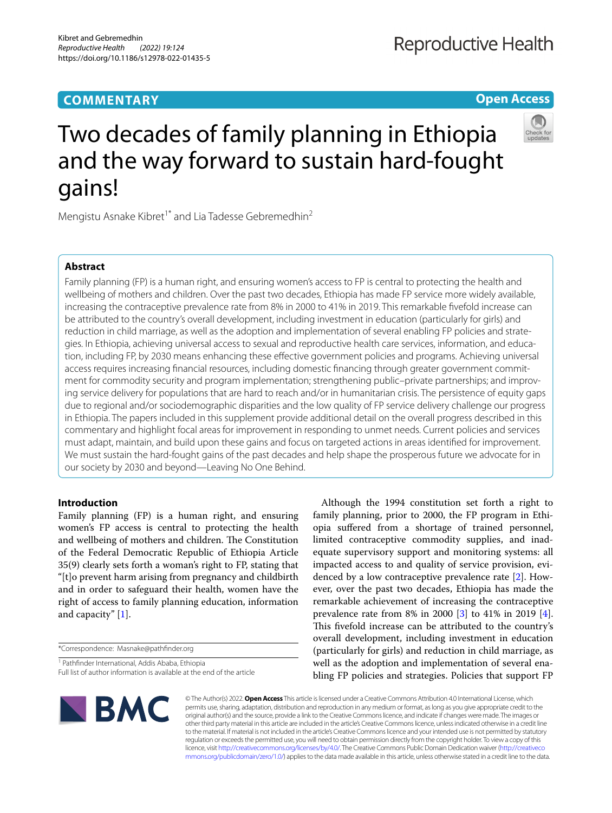### **COMMENTARY**

**Open Access**



# Two decades of family planning in Ethiopia and the way forward to sustain hard-fought gains!

Mengistu Asnake Kibret<sup>1\*</sup> and Lia Tadesse Gebremedhin<sup>2</sup>

#### **Abstract**

Family planning (FP) is a human right, and ensuring women's access to FP is central to protecting the health and wellbeing of mothers and children. Over the past two decades, Ethiopia has made FP service more widely available, increasing the contraceptive prevalence rate from 8% in 2000 to 41% in 2019. This remarkable fvefold increase can be attributed to the country's overall development, including investment in education (particularly for girls) and reduction in child marriage, as well as the adoption and implementation of several enabling FP policies and strategies. In Ethiopia, achieving universal access to sexual and reproductive health care services, information, and education, including FP, by 2030 means enhancing these efective government policies and programs. Achieving universal access requires increasing fnancial resources, including domestic fnancing through greater government commitment for commodity security and program implementation; strengthening public–private partnerships; and improving service delivery for populations that are hard to reach and/or in humanitarian crisis. The persistence of equity gaps due to regional and/or sociodemographic disparities and the low quality of FP service delivery challenge our progress in Ethiopia. The papers included in this supplement provide additional detail on the overall progress described in this commentary and highlight focal areas for improvement in responding to unmet needs. Current policies and services must adapt, maintain, and build upon these gains and focus on targeted actions in areas identifed for improvement. We must sustain the hard-fought gains of the past decades and help shape the prosperous future we advocate for in our society by 2030 and beyond—Leaving No One Behind.

#### **Introduction**

Family planning (FP) is a human right, and ensuring women's FP access is central to protecting the health and wellbeing of mothers and children. The Constitution of the Federal Democratic Republic of Ethiopia Article 35(9) clearly sets forth a woman's right to FP, stating that "[t]o prevent harm arising from pregnancy and childbirth and in order to safeguard their health, women have the right of access to family planning education, information and capacity" [\[1](#page-2-0)].

\*Correspondence: Masnake@pathfnder.org

<sup>1</sup> Pathfinder International, Addis Ababa, Ethiopia

Full list of author information is available at the end of the article

Although the 1994 constitution set forth a right to family planning, prior to 2000, the FP program in Ethiopia sufered from a shortage of trained personnel, limited contraceptive commodity supplies, and inadequate supervisory support and monitoring systems: all impacted access to and quality of service provision, evidenced by a low contraceptive prevalence rate [[2\]](#page-2-1). However, over the past two decades, Ethiopia has made the remarkable achievement of increasing the contraceptive prevalence rate from 8% in 2000 [\[3](#page-2-2)] to 41% in 2019 [\[4](#page-2-3)]. This fivefold increase can be attributed to the country's overall development, including investment in education (particularly for girls) and reduction in child marriage, as well as the adoption and implementation of several enabling FP policies and strategies. Policies that support FP



© The Author(s) 2022. **Open Access** This article is licensed under a Creative Commons Attribution 4.0 International License, which permits use, sharing, adaptation, distribution and reproduction in any medium or format, as long as you give appropriate credit to the original author(s) and the source, provide a link to the Creative Commons licence, and indicate if changes were made. The images or other third party material in this article are included in the article's Creative Commons licence, unless indicated otherwise in a credit line to the material. If material is not included in the article's Creative Commons licence and your intended use is not permitted by statutory regulation or exceeds the permitted use, you will need to obtain permission directly from the copyright holder. To view a copy of this licence, visit [http://creativecommons.org/licenses/by/4.0/.](http://creativecommons.org/licenses/by/4.0/) The Creative Commons Public Domain Dedication waiver ([http://creativeco](http://creativecommons.org/publicdomain/zero/1.0/) [mmons.org/publicdomain/zero/1.0/](http://creativecommons.org/publicdomain/zero/1.0/)) applies to the data made available in this article, unless otherwise stated in a credit line to the data.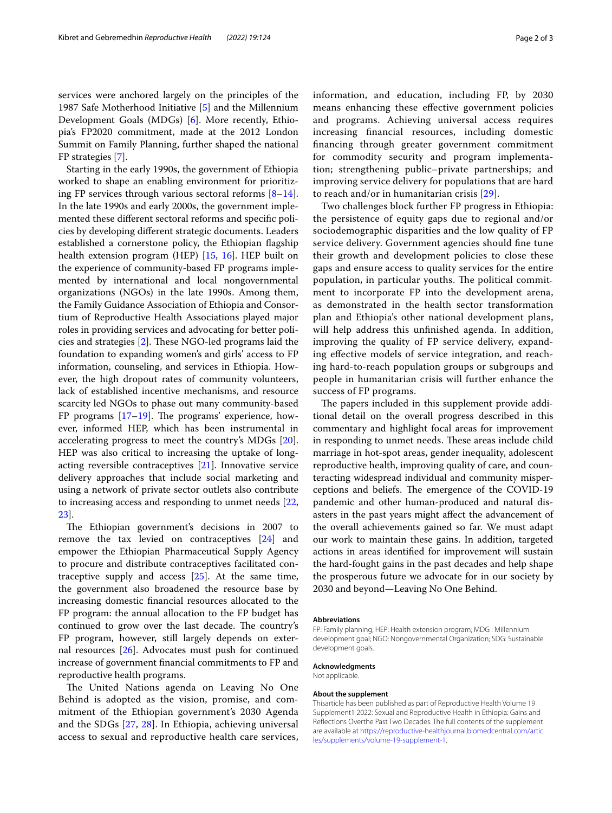services were anchored largely on the principles of the 1987 Safe Motherhood Initiative [[5\]](#page-2-4) and the Millennium Development Goals (MDGs) [\[6](#page-2-5)]. More recently, Ethiopia's FP2020 commitment, made at the 2012 London Summit on Family Planning, further shaped the national FP strategies [[7\]](#page-2-6).

Starting in the early 1990s, the government of Ethiopia worked to shape an enabling environment for prioritizing FP services through various sectoral reforms [\[8](#page-2-7)[–14](#page-2-8)]. In the late 1990s and early 2000s, the government implemented these diferent sectoral reforms and specifc policies by developing diferent strategic documents. Leaders established a cornerstone policy, the Ethiopian fagship health extension program (HEP) [\[15,](#page-2-9) [16\]](#page-2-10). HEP built on the experience of community-based FP programs implemented by international and local nongovernmental organizations (NGOs) in the late 1990s. Among them, the Family Guidance Association of Ethiopia and Consortium of Reproductive Health Associations played major roles in providing services and advocating for better policies and strategies  $[2]$  $[2]$ . These NGO-led programs laid the foundation to expanding women's and girls' access to FP information, counseling, and services in Ethiopia. However, the high dropout rates of community volunteers, lack of established incentive mechanisms, and resource scarcity led NGOs to phase out many community-based FP programs  $[17–19]$  $[17–19]$ . The programs' experience, however, informed HEP, which has been instrumental in accelerating progress to meet the country's MDGs [\[20](#page-2-13)]. HEP was also critical to increasing the uptake of longacting reversible contraceptives [[21](#page-2-14)]. Innovative service delivery approaches that include social marketing and using a network of private sector outlets also contribute to increasing access and responding to unmet needs [\[22](#page-2-15), [23\]](#page-2-16).

The Ethiopian government's decisions in 2007 to remove the tax levied on contraceptives [[24\]](#page-2-17) and empower the Ethiopian Pharmaceutical Supply Agency to procure and distribute contraceptives facilitated contraceptive supply and access [\[25\]](#page-2-18). At the same time, the government also broadened the resource base by increasing domestic fnancial resources allocated to the FP program: the annual allocation to the FP budget has continued to grow over the last decade. The country's FP program, however, still largely depends on external resources [\[26](#page-2-19)]. Advocates must push for continued increase of government fnancial commitments to FP and reproductive health programs.

The United Nations agenda on Leaving No One Behind is adopted as the vision, promise, and commitment of the Ethiopian government's 2030 Agenda and the SDGs [\[27](#page-2-20), [28\]](#page-2-21). In Ethiopia, achieving universal access to sexual and reproductive health care services, information, and education, including FP, by 2030 means enhancing these efective government policies and programs. Achieving universal access requires increasing fnancial resources, including domestic fnancing through greater government commitment for commodity security and program implementation; strengthening public–private partnerships; and improving service delivery for populations that are hard to reach and/or in humanitarian crisis [[29\]](#page-2-22).

Two challenges block further FP progress in Ethiopia: the persistence of equity gaps due to regional and/or sociodemographic disparities and the low quality of FP service delivery. Government agencies should fne tune their growth and development policies to close these gaps and ensure access to quality services for the entire population, in particular youths. The political commitment to incorporate FP into the development arena, as demonstrated in the health sector transformation plan and Ethiopia's other national development plans, will help address this unfnished agenda. In addition, improving the quality of FP service delivery, expanding efective models of service integration, and reaching hard-to-reach population groups or subgroups and people in humanitarian crisis will further enhance the success of FP programs.

The papers included in this supplement provide additional detail on the overall progress described in this commentary and highlight focal areas for improvement in responding to unmet needs. These areas include child marriage in hot-spot areas, gender inequality, adolescent reproductive health, improving quality of care, and counteracting widespread individual and community misperceptions and beliefs. The emergence of the COVID-19 pandemic and other human-produced and natural disasters in the past years might afect the advancement of the overall achievements gained so far. We must adapt our work to maintain these gains. In addition, targeted actions in areas identifed for improvement will sustain the hard-fought gains in the past decades and help shape the prosperous future we advocate for in our society by 2030 and beyond—Leaving No One Behind.

#### **Abbreviations**

FP: Family planning; HEP: Health extension program; MDG : Millennium development goal; NGO: Nongovernmental Organization; SDG: Sustainable development goals.

**Acknowledgments**

Not applicable.

#### **About the supplement**

Thisarticle has been published as part of Reproductive Health Volume 19 Supplement1 2022: Sexual and Reproductive Health in Ethiopia: Gains and Refections Overthe Past Two Decades. The full contents of the supplement are available at [https://reproductive-healthjournal.biomedcentral.com/artic](https://reproductive-healthjournal.biomedcentral.com/articles/supplements/volume-19-supplement-1) [les/supplements/volume-19-supplement-1](https://reproductive-healthjournal.biomedcentral.com/articles/supplements/volume-19-supplement-1).